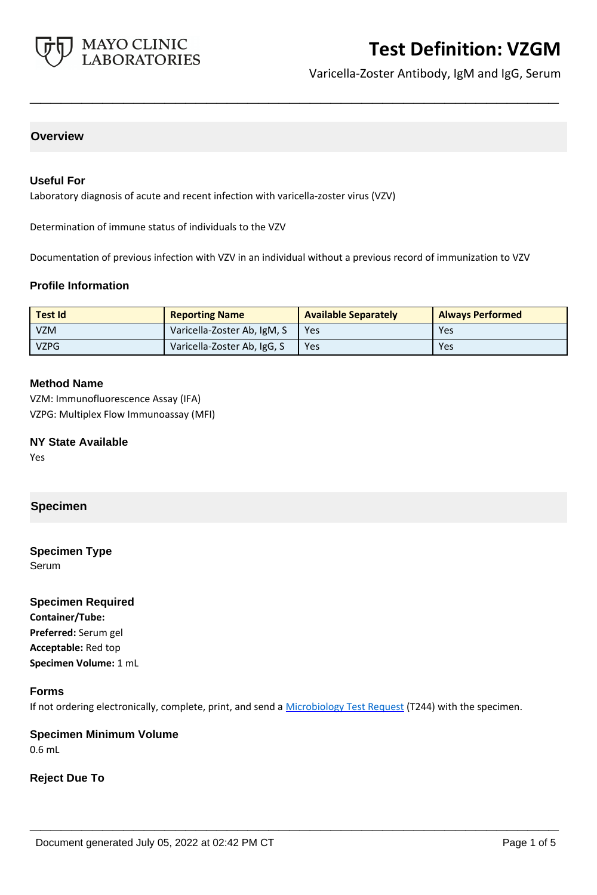

Varicella-Zoster Antibody, IgM and IgG, Serum

# **Overview**

## **Useful For**

Laboratory diagnosis of acute and recent infection with varicella-zoster virus (VZV)

Determination of immune status of individuals to the VZV

Documentation of previous infection with VZV in an individual without a previous record of immunization to VZV

**\_\_\_\_\_\_\_\_\_\_\_\_\_\_\_\_\_\_\_\_\_\_\_\_\_\_\_\_\_\_\_\_\_\_\_\_\_\_\_\_\_\_\_\_\_\_\_\_\_\_\_**

### **Profile Information**

| <b>Test Id</b> | <b>Reporting Name</b>       | <b>Available Separately</b> | <b>Always Performed</b> |
|----------------|-----------------------------|-----------------------------|-------------------------|
| <b>VZM</b>     | Varicella-Zoster Ab, IgM, S | Yes                         | Yes                     |
| <b>VZPG</b>    | Varicella-Zoster Ab, IgG, S | Yes                         | Yes                     |

#### **Method Name**

VZM: Immunofluorescence Assay (IFA) VZPG: Multiplex Flow Immunoassay (MFI)

#### **NY State Available**

Yes

### **Specimen**

## **Specimen Type**

**Serum** 

#### **Specimen Required**

**Container/Tube: Preferred:** Serum gel **Acceptable:** Red top **Specimen Volume:** 1 mL

#### **Forms**

If not ordering electronically, complete, print, and send a [Microbiology Test Request](https://www.mayocliniclabs.com/it-mmfiles/Microbiology_Test_Request_Form.pdf) (T244) with the specimen.

**\_\_\_\_\_\_\_\_\_\_\_\_\_\_\_\_\_\_\_\_\_\_\_\_\_\_\_\_\_\_\_\_\_\_\_\_\_\_\_\_\_\_\_\_\_\_\_\_\_\_\_**

### **Specimen Minimum Volume** 0.6 mL

**Reject Due To**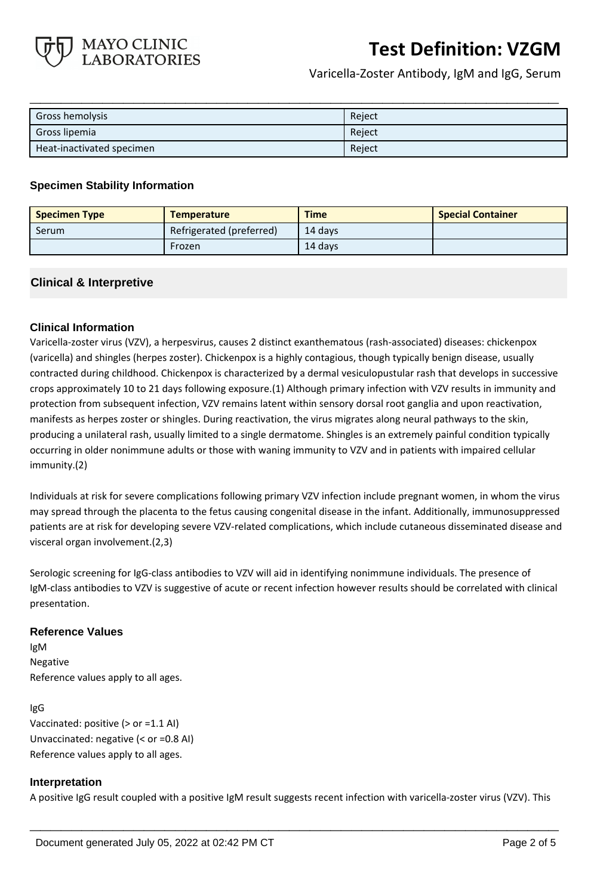

Varicella-Zoster Antibody, IgM and IgG, Serum

| Gross hemolysis           | Reject |
|---------------------------|--------|
| Gross lipemia             | Reject |
| Heat-inactivated specimen | Reject |

**\_\_\_\_\_\_\_\_\_\_\_\_\_\_\_\_\_\_\_\_\_\_\_\_\_\_\_\_\_\_\_\_\_\_\_\_\_\_\_\_\_\_\_\_\_\_\_\_\_\_\_**

# **Specimen Stability Information**

| <b>Specimen Type</b> | <b>Temperature</b>       | <b>Time</b> | <b>Special Container</b> |
|----------------------|--------------------------|-------------|--------------------------|
| Serum                | Refrigerated (preferred) | 14 davs     |                          |
|                      | Frozen                   | 14 davs     |                          |

# **Clinical & Interpretive**

# **Clinical Information**

Varicella-zoster virus (VZV), a herpesvirus, causes 2 distinct exanthematous (rash-associated) diseases: chickenpox (varicella) and shingles (herpes zoster). Chickenpox is a highly contagious, though typically benign disease, usually contracted during childhood. Chickenpox is characterized by a dermal vesiculopustular rash that develops in successive crops approximately 10 to 21 days following exposure.(1) Although primary infection with VZV results in immunity and protection from subsequent infection, VZV remains latent within sensory dorsal root ganglia and upon reactivation, manifests as herpes zoster or shingles. During reactivation, the virus migrates along neural pathways to the skin, producing a unilateral rash, usually limited to a single dermatome. Shingles is an extremely painful condition typically occurring in older nonimmune adults or those with waning immunity to VZV and in patients with impaired cellular immunity.(2)

Individuals at risk for severe complications following primary VZV infection include pregnant women, in whom the virus may spread through the placenta to the fetus causing congenital disease in the infant. Additionally, immunosuppressed patients are at risk for developing severe VZV-related complications, which include cutaneous disseminated disease and visceral organ involvement.(2,3)

Serologic screening for IgG-class antibodies to VZV will aid in identifying nonimmune individuals. The presence of IgM-class antibodies to VZV is suggestive of acute or recent infection however results should be correlated with clinical presentation.

# **Reference Values**

IgM Negative Reference values apply to all ages.

#### IgG

Vaccinated: positive (> or =1.1 AI) Unvaccinated: negative (< or =0.8 AI) Reference values apply to all ages.

# **Interpretation**

A positive IgG result coupled with a positive IgM result suggests recent infection with varicella-zoster virus (VZV). This

**\_\_\_\_\_\_\_\_\_\_\_\_\_\_\_\_\_\_\_\_\_\_\_\_\_\_\_\_\_\_\_\_\_\_\_\_\_\_\_\_\_\_\_\_\_\_\_\_\_\_\_**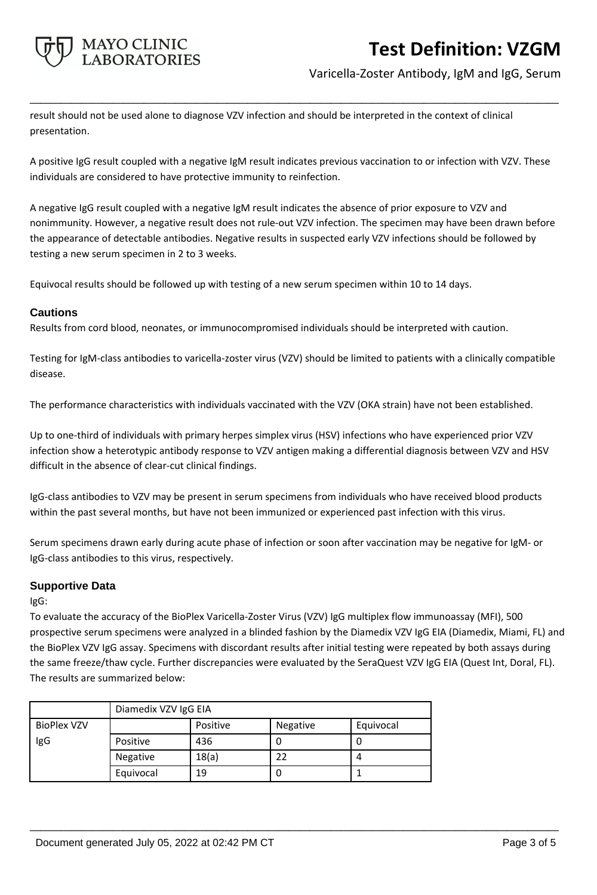

# Varicella-Zoster Antibody, IgM and IgG, Serum

result should not be used alone to diagnose VZV infection and should be interpreted in the context of clinical presentation.

A positive IgG result coupled with a negative IgM result indicates previous vaccination to or infection with VZV. These individuals are considered to have protective immunity to reinfection.

**\_\_\_\_\_\_\_\_\_\_\_\_\_\_\_\_\_\_\_\_\_\_\_\_\_\_\_\_\_\_\_\_\_\_\_\_\_\_\_\_\_\_\_\_\_\_\_\_\_\_\_**

A negative IgG result coupled with a negative IgM result indicates the absence of prior exposure to VZV and nonimmunity. However, a negative result does not rule-out VZV infection. The specimen may have been drawn before the appearance of detectable antibodies. Negative results in suspected early VZV infections should be followed by testing a new serum specimen in 2 to 3 weeks.

Equivocal results should be followed up with testing of a new serum specimen within 10 to 14 days.

### **Cautions**

Results from cord blood, neonates, or immunocompromised individuals should be interpreted with caution.

Testing for IgM-class antibodies to varicella-zoster virus (VZV) should be limited to patients with a clinically compatible disease.

The performance characteristics with individuals vaccinated with the VZV (OKA strain) have not been established.

Up to one-third of individuals with primary herpes simplex virus (HSV) infections who have experienced prior VZV infection show a heterotypic antibody response to VZV antigen making a differential diagnosis between VZV and HSV difficult in the absence of clear-cut clinical findings.

IgG-class antibodies to VZV may be present in serum specimens from individuals who have received blood products within the past several months, but have not been immunized or experienced past infection with this virus.

Serum specimens drawn early during acute phase of infection or soon after vaccination may be negative for IgM- or IgG-class antibodies to this virus, respectively.

# **Supportive Data**

IgG:

To evaluate the accuracy of the BioPlex Varicella-Zoster Virus (VZV) IgG multiplex flow immunoassay (MFI), 500 prospective serum specimens were analyzed in a blinded fashion by the Diamedix VZV IgG EIA (Diamedix, Miami, FL) and the BioPlex VZV IgG assay. Specimens with discordant results after initial testing were repeated by both assays during the same freeze/thaw cycle. Further discrepancies were evaluated by the SeraQuest VZV IgG EIA (Quest Int, Doral, FL). The results are summarized below:

**\_\_\_\_\_\_\_\_\_\_\_\_\_\_\_\_\_\_\_\_\_\_\_\_\_\_\_\_\_\_\_\_\_\_\_\_\_\_\_\_\_\_\_\_\_\_\_\_\_\_\_**

|                    | Diamedix VZV IgG EIA |          |          |           |
|--------------------|----------------------|----------|----------|-----------|
| <b>BioPlex VZV</b> |                      | Positive | Negative | Equivocal |
| IgG                | Positive             | 436      | υ        |           |
|                    | Negative             | 18(a)    | 22       |           |
|                    | Equivocal            | 19       | U        |           |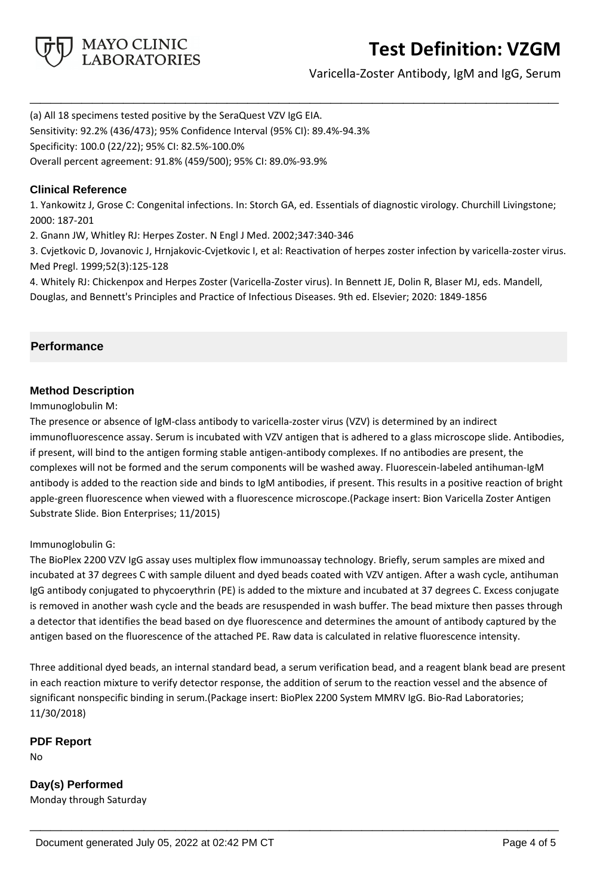

Varicella-Zoster Antibody, IgM and IgG, Serum

(a) All 18 specimens tested positive by the SeraQuest VZV IgG EIA. Sensitivity: 92.2% (436/473); 95% Confidence Interval (95% CI): 89.4%-94.3% Specificity: 100.0 (22/22); 95% CI: 82.5%-100.0% Overall percent agreement: 91.8% (459/500); 95% CI: 89.0%-93.9%

# **Clinical Reference**

1. Yankowitz J, Grose C: Congenital infections. In: Storch GA, ed. Essentials of diagnostic virology. Churchill Livingstone; 2000: 187-201

**\_\_\_\_\_\_\_\_\_\_\_\_\_\_\_\_\_\_\_\_\_\_\_\_\_\_\_\_\_\_\_\_\_\_\_\_\_\_\_\_\_\_\_\_\_\_\_\_\_\_\_**

2. Gnann JW, Whitley RJ: Herpes Zoster. N Engl J Med. 2002;347:340-346

3. Cvjetkovic D, Jovanovic J, Hrnjakovic-Cvjetkovic I, et al: Reactivation of herpes zoster infection by varicella-zoster virus. Med Pregl. 1999;52(3):125-128

4. Whitely RJ: Chickenpox and Herpes Zoster (Varicella-Zoster virus). In Bennett JE, Dolin R, Blaser MJ, eds. Mandell, Douglas, and Bennett's Principles and Practice of Infectious Diseases. 9th ed. Elsevier; 2020: 1849-1856

# **Performance**

# **Method Description**

Immunoglobulin M:

The presence or absence of IgM-class antibody to varicella-zoster virus (VZV) is determined by an indirect immunofluorescence assay. Serum is incubated with VZV antigen that is adhered to a glass microscope slide. Antibodies, if present, will bind to the antigen forming stable antigen-antibody complexes. If no antibodies are present, the complexes will not be formed and the serum components will be washed away. Fluorescein-labeled antihuman-IgM antibody is added to the reaction side and binds to IgM antibodies, if present. This results in a positive reaction of bright apple-green fluorescence when viewed with a fluorescence microscope.(Package insert: Bion Varicella Zoster Antigen Substrate Slide. Bion Enterprises; 11/2015)

# Immunoglobulin G:

The BioPlex 2200 VZV IgG assay uses multiplex flow immunoassay technology. Briefly, serum samples are mixed and incubated at 37 degrees C with sample diluent and dyed beads coated with VZV antigen. After a wash cycle, antihuman IgG antibody conjugated to phycoerythrin (PE) is added to the mixture and incubated at 37 degrees C. Excess conjugate is removed in another wash cycle and the beads are resuspended in wash buffer. The bead mixture then passes through a detector that identifies the bead based on dye fluorescence and determines the amount of antibody captured by the antigen based on the fluorescence of the attached PE. Raw data is calculated in relative fluorescence intensity.

Three additional dyed beads, an internal standard bead, a serum verification bead, and a reagent blank bead are present in each reaction mixture to verify detector response, the addition of serum to the reaction vessel and the absence of significant nonspecific binding in serum.(Package insert: BioPlex 2200 System MMRV IgG. Bio-Rad Laboratories; 11/30/2018)

**\_\_\_\_\_\_\_\_\_\_\_\_\_\_\_\_\_\_\_\_\_\_\_\_\_\_\_\_\_\_\_\_\_\_\_\_\_\_\_\_\_\_\_\_\_\_\_\_\_\_\_**

**PDF Report**

No

**Day(s) Performed** Monday through Saturday